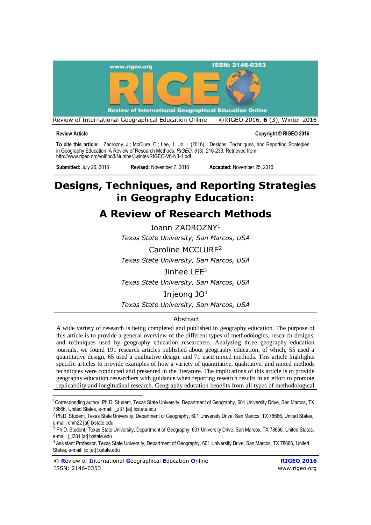

**Review Article Copyright © RIGEO 2016**

**To cite this article:** Zadrozny, J.; McClure, C.; Lee, J.; Jo, I. (2016). Designs, Techniques, and Reporting Strategies in Geography Education: A Review of Research Methods. *RIGEO*, *6* (3), 216-233. Retrieved from <http://www.rigeo.org/vol6no3/Number3winter/RIGEO-V6-N3-1.pdf>

**Submitted:** July 26, 2016 **Revised:** November 7, 2016 **Accepted:** November 25, 2016

# **Designs, Techniques, and Reporting Strategies in Geography Education:**

# **A Review of Research Methods**

Joann ZADROZNY<sup>1</sup> *Texas State University, San Marcos, USA* 

Caroline MCCLURE<sup>2</sup> *Texas State University, San Marcos, USA* 

Jinhee  $LEE<sup>3</sup>$ *Texas State University, San Marcos, USA* 

Injeong JO<sup>4</sup>

*Texas State University, San Marcos, USA* 

# **Abstract**

A wide variety of research is being completed and published in geography education. The purpose of this article is to provide a general overview of the different types of methodologies, research designs, and techniques used by geography education researchers. Analyzing three geography education journals, we found 191 research articles published about geography education, of which, 55 used a quantitative design, 65 used a qualitative design, and 71 used mixed methods. This article highlights specific articles to provide examples of how a variety of quantitative, qualitative, and mixed methods techniques were conducted and presented in the literature. The implications of this article is to provide geography education researchers with guidance when reporting research results in an effort to promote replicability and longitudinal research. Geography education benefits from all types of methodological

<sup>&</sup>lt;sup>1</sup>Corresponding author: Ph.D. Student, Texas State University, Department of Geography, 601 University Drive, San Marcos, TX 78666, United States, e-mail: j\_z37 [at] txstate.edu

<sup>&</sup>lt;sup>2</sup> Ph.D. Student, Texas State University, Department of Geography, 601 University Drive, San Marcos, TX 78666, United States, e-mail: chm22 [at] txstate.edu

<sup>&</sup>lt;sup>3</sup> Ph.D. Student, Texas State University, Department of Geography, 601 University Drive, San Marcos, TX 78666, United States, e-mail: j\_l281 [at] txstate.edu

<sup>4</sup>Assistant Professor, Texas State University, Department of Geography, 601 University Drive, San Marcos, TX 78666, United States, e-mail: ijo [at] txstate.edu

<sup>©</sup> **R**eview of **I**nternational **G**eographical **E**ducation **O**nline **RIGEO 2016** ISSN: 2146-0353 [www.rigeo.org](http://www.rigeo.org/)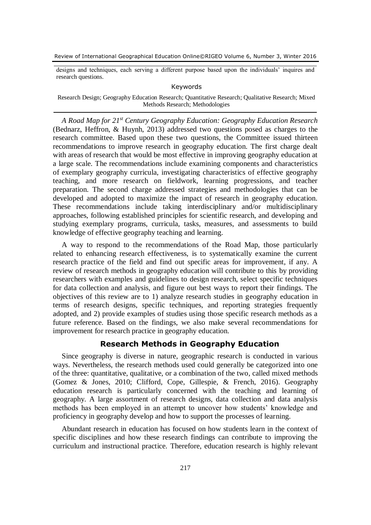designs and techniques, each serving a different purpose based upon the individuals' inquires and research questions.

# Keywords

Research Design; Geography Education Research; Quantitative Research; Qualitative Research; Mixed Methods Research; Methodologies

*A Road Map for 21st Century Geography Education: Geography Education Research* (Bednarz, Heffron, & Huynh, 2013) addressed two questions posed as charges to the research committee. Based upon these two questions, the Committee issued thirteen recommendations to improve research in geography education. The first charge dealt with areas of research that would be most effective in improving geography education at a large scale. The recommendations include examining components and characteristics of exemplary geography curricula, investigating characteristics of effective geography teaching, and more research on fieldwork, learning progressions, and teacher preparation. The second charge addressed strategies and methodologies that can be developed and adopted to maximize the impact of research in geography education. These recommendations include taking interdisciplinary and/or multidisciplinary approaches, following established principles for scientific research, and developing and studying exemplary programs, curricula, tasks, measures, and assessments to build knowledge of effective geography teaching and learning.

A way to respond to the recommendations of the Road Map, those particularly related to enhancing research effectiveness, is to systematically examine the current research practice of the field and find out specific areas for improvement, if any. A review of research methods in geography education will contribute to this by providing researchers with examples and guidelines to design research, select specific techniques for data collection and analysis, and figure out best ways to report their findings. The objectives of this review are to 1) analyze research studies in geography education in terms of research designs, specific techniques, and reporting strategies frequently adopted, and 2) provide examples of studies using those specific research methods as a future reference. Based on the findings, we also make several recommendations for improvement for research practice in geography education.

# **Research Methods in Geography Education**

Since geography is diverse in nature, geographic research is conducted in various ways. Nevertheless, the research methods used could generally be categorized into one of the three: quantitative, qualitative, or a combination of the two, called mixed methods (Gomez & Jones, 2010; Clifford, Cope, Gillespie, & French, 2016). Geography education research is particularly concerned with the teaching and learning of geography. A large assortment of research designs, data collection and data analysis methods has been employed in an attempt to uncover how students' knowledge and proficiency in geography develop and how to support the processes of learning.

Abundant research in education has focused on how students learn in the context of specific disciplines and how these research findings can contribute to improving the curriculum and instructional practice. Therefore, education research is highly relevant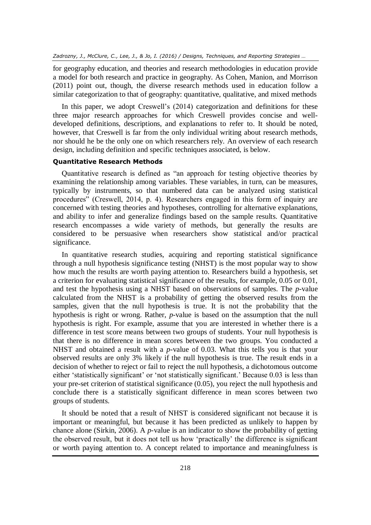for geography education, and theories and research methodologies in education provide a model for both research and practice in geography. As Cohen, Manion, and Morrison (2011) point out, though, the diverse research methods used in education follow a similar categorization to that of geography: quantitative, qualitative, and mixed methods

In this paper, we adopt Creswell's (2014) categorization and definitions for these three major research approaches for which Creswell provides concise and welldeveloped definitions, descriptions, and explanations to refer to. It should be noted, however, that Creswell is far from the only individual writing about research methods, nor should he be the only one on which researchers rely. An overview of each research design, including definition and specific techniques associated, is below.

# **Quantitative Research Methods**

Quantitative research is defined as "an approach for testing objective theories by examining the relationship among variables. These variables, in turn, can be measures, typically by instruments, so that numbered data can be analyzed using statistical procedures" (Creswell, 2014, p. 4). Researchers engaged in this form of inquiry are concerned with testing theories and hypotheses, controlling for alternative explanations, and ability to infer and generalize findings based on the sample results. Quantitative research encompasses a wide variety of methods, but generally the results are considered to be persuasive when researchers show statistical and/or practical significance.

In quantitative research studies, acquiring and reporting statistical significance through a null hypothesis significance testing (NHST) is the most popular way to show how much the results are worth paying attention to. Researchers build a hypothesis, set a criterion for evaluating statistical significance of the results, for example, 0.05 or 0.01, and test the hypothesis using a NHST based on observations of samples. The *p*-value calculated from the NHST is a probability of getting the observed results from the samples, given that the null hypothesis is true. It is not the probability that the hypothesis is right or wrong. Rather, *p*-value is based on the assumption that the null hypothesis is right. For example, assume that you are interested in whether there is a difference in test score means between two groups of students. Your null hypothesis is that there is no difference in mean scores between the two groups. You conducted a NHST and obtained a result with a *p*-value of 0.03. What this tells you is that your observed results are only 3% likely if the null hypothesis is true. The result ends in a decision of whether to reject or fail to reject the null hypothesis, a dichotomous outcome either 'statistically significant' or 'not statistically significant.' Because 0.03 is less than your pre-set criterion of statistical significance (0.05), you reject the null hypothesis and conclude there is a statistically significant difference in mean scores between two groups of students.

It should be noted that a result of NHST is considered significant not because it is important or meaningful, but because it has been predicted as unlikely to happen by chance alone (Sirkin, 2006). A *p*-value is an indicator to show the probability of getting the observed result, but it does not tell us how 'practically' the difference is significant or worth paying attention to. A concept related to importance and meaningfulness is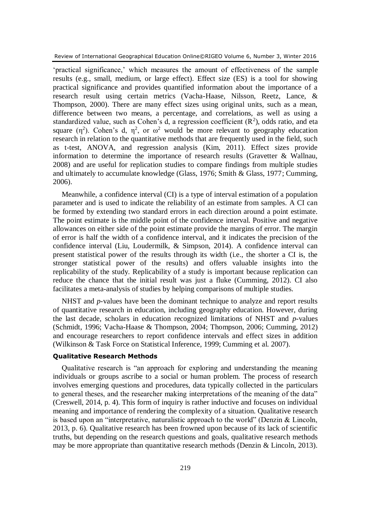'practical significance,' which measures the amount of effectiveness of the sample results (e.g., small, medium, or large effect). Effect size (ES) is a tool for showing practical significance and provides quantified information about the importance of a research result using certain metrics (Vacha-Haase, Nilsson, Reetz, Lance, & Thompson, 2000). There are many effect sizes using original units, such as a mean, difference between two means, a percentage, and correlations, as well as using a standardized value, such as Cohen's d, a regression coefficient  $(R^2)$ , odds ratio, and eta square  $(\eta^2)$ . Cohen's d,  $\eta^2$ , or  $\omega^2$  would be more relevant to geography education research in relation to the quantitative methods that are frequently used in the field, such as t-test, ANOVA, and regression analysis (Kim, 2011). Effect sizes provide information to determine the importance of research results (Gravetter & Wallnau, 2008) and are useful for replication studies to compare findings from multiple studies and ultimately to accumulate knowledge (Glass, 1976; Smith & Glass, 1977; Cumming, 2006).

Meanwhile, a confidence interval (CI) is a type of interval estimation of a population parameter and is used to indicate the reliability of an estimate from samples. A CI can be formed by extending two standard errors in each direction around a point estimate. The point estimate is the middle point of the confidence interval. Positive and negative allowances on either side of the point estimate provide the margins of error. The margin of error is half the width of a confidence interval, and it indicates the precision of the confidence interval (Liu, Loudermilk, & Simpson, 2014). A confidence interval can present statistical power of the results through its width (i.e., the shorter a CI is, the stronger statistical power of the results) and offers valuable insights into the replicability of the study. Replicability of a study is important because replication can reduce the chance that the initial result was just a fluke (Cumming, 2012). CI also facilitates a meta-analysis of studies by helping comparisons of multiple studies.

NHST and *p*-values have been the dominant technique to analyze and report results of quantitative research in education, including geography education. However, during the last decade, scholars in education recognized limitations of NHST and *p*-values (Schmidt, 1996; Vacha-Haase & Thompson, 2004; Thompson, 2006; Cumming, 2012) and encourage researchers to report confidence intervals and effect sizes in addition (Wilkinson & Task Force on Statistical Inference, 1999; Cumming et al. 2007).

### **Qualitative Research Methods**

Qualitative research is "an approach for exploring and understanding the meaning individuals or groups ascribe to a social or human problem. The process of research involves emerging questions and procedures, data typically collected in the particulars to general theses, and the researcher making interpretations of the meaning of the data" (Creswell, 2014, p. 4). This form of inquiry is rather inductive and focuses on individual meaning and importance of rendering the complexity of a situation. Qualitative research is based upon an "interpretative, naturalistic approach to the world" (Denzin & Lincoln, 2013, p. 6). Qualitative research has been frowned upon because of its lack of scientific truths, but depending on the research questions and goals, qualitative research methods may be more appropriate than quantitative research methods (Denzin & Lincoln, 2013).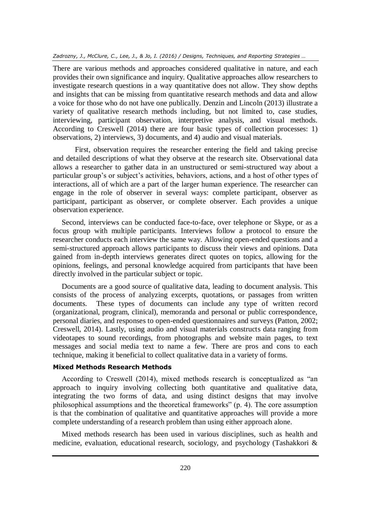There are various methods and approaches considered qualitative in nature, and each provides their own significance and inquiry. Qualitative approaches allow researchers to investigate research questions in a way quantitative does not allow. They show depths and insights that can be missing from quantitative research methods and data and allow a voice for those who do not have one publically. Denzin and Lincoln (2013) illustrate a variety of qualitative research methods including, but not limited to, case studies, interviewing, participant observation, interpretive analysis, and visual methods. According to Creswell (2014) there are four basic types of collection processes: 1) observations, 2) interviews, 3) documents, and 4) audio and visual materials.

First, observation requires the researcher entering the field and taking precise and detailed descriptions of what they observe at the research site. Observational data allows a researcher to gather data in an unstructured or semi-structured way about a particular group's or subject's activities, behaviors, actions, and a host of other types of interactions, all of which are a part of the larger human experience. The researcher can engage in the role of observer in several ways: complete participant, observer as participant, participant as observer, or complete observer. Each provides a unique observation experience.

Second, interviews can be conducted face-to-face, over telephone or Skype, or as a focus group with multiple participants. Interviews follow a protocol to ensure the researcher conducts each interview the same way. Allowing open-ended questions and a semi-structured approach allows participants to discuss their views and opinions. Data gained from in-depth interviews generates direct quotes on topics, allowing for the opinions, feelings, and personal knowledge acquired from participants that have been directly involved in the particular subject or topic.

Documents are a good source of qualitative data, leading to document analysis. This consists of the process of analyzing excerpts, quotations, or passages from written documents. These types of documents can include any type of written record (organizational, program, clinical), memoranda and personal or public correspondence, personal diaries, and responses to open-ended questionnaires and surveys (Patton, 2002; Creswell, 2014). Lastly, using audio and visual materials constructs data ranging from videotapes to sound recordings, from photographs and website main pages, to text messages and social media text to name a few. There are pros and cons to each technique, making it beneficial to collect qualitative data in a variety of forms.

# **Mixed Methods Research Methods**

According to Creswell (2014), mixed methods research is conceptualized as "an approach to inquiry involving collecting both quantitative and qualitative data, integrating the two forms of data, and using distinct designs that may involve philosophical assumptions and the theoretical frameworks" (p. 4). The core assumption is that the combination of qualitative and quantitative approaches will provide a more complete understanding of a research problem than using either approach alone.

Mixed methods research has been used in various disciplines, such as health and medicine, evaluation, educational research, sociology, and psychology (Tashakkori &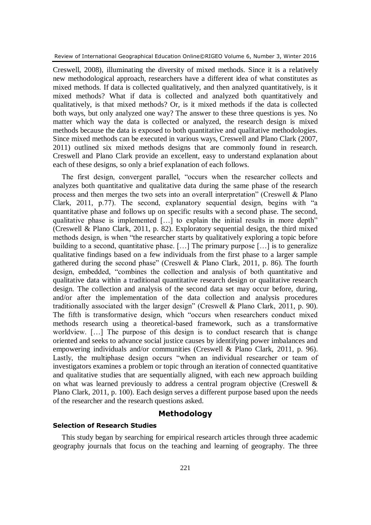Creswell, 2008), illuminating the diversity of mixed methods. Since it is a relatively new methodological approach, researchers have a different idea of what constitutes as mixed methods. If data is collected qualitatively, and then analyzed quantitatively, is it mixed methods? What if data is collected and analyzed both quantitatively and qualitatively, is that mixed methods? Or, is it mixed methods if the data is collected both ways, but only analyzed one way? The answer to these three questions is yes. No matter which way the data is collected or analyzed, the research design is mixed methods because the data is exposed to both quantitative and qualitative methodologies. Since mixed methods can be executed in various ways, Creswell and Plano Clark (2007, 2011) outlined six mixed methods designs that are commonly found in research. Creswell and Plano Clark provide an excellent, easy to understand explanation about each of these designs, so only a brief explanation of each follows.

The first design, convergent parallel, "occurs when the researcher collects and analyzes both quantitative and qualitative data during the same phase of the research process and then merges the two sets into an overall interpretation" (Creswell & Plano Clark, 2011, p.77). The second, explanatory sequential design, begins with "a quantitative phase and follows up on specific results with a second phase. The second, qualitative phase is implemented […] to explain the initial results in more depth" (Creswell & Plano Clark, 2011, p. 82). Exploratory sequential design, the third mixed methods design, is when "the researcher starts by qualitatively exploring a topic before building to a second, quantitative phase. [...] The primary purpose [...] is to generalize qualitative findings based on a few individuals from the first phase to a larger sample gathered during the second phase" (Creswell & Plano Clark, 2011, p. 86). The fourth design, embedded, "combines the collection and analysis of both quantitative and qualitative data within a traditional quantitative research design or qualitative research design. The collection and analysis of the second data set may occur before, during, and/or after the implementation of the data collection and analysis procedures traditionally associated with the larger design" (Creswell & Plano Clark, 2011, p. 90). The fifth is transformative design, which "occurs when researchers conduct mixed methods research using a theoretical-based framework, such as a transformative worldview. [...] The purpose of this design is to conduct research that is change oriented and seeks to advance social justice causes by identifying power imbalances and empowering individuals and/or communities (Creswell & Plano Clark, 2011, p. 96). Lastly, the multiphase design occurs "when an individual researcher or team of investigators examines a problem or topic through an iteration of connected quantitative and qualitative studies that are sequentially aligned, with each new approach building on what was learned previously to address a central program objective (Creswell & Plano Clark, 2011, p. 100). Each design serves a different purpose based upon the needs of the researcher and the research questions asked.

# **Methodology**

#### **Selection of Research Studies**

This study began by searching for empirical research articles through three academic geography journals that focus on the teaching and learning of geography. The three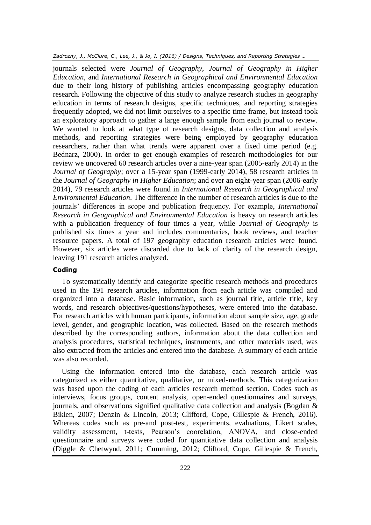*Zadrozny, J., McClure, C., Lee, J., & Jo, I. (2016) / Designs, Techniques, and Reporting Strategies …*

journals selected were *Journal of Geography, Journal of Geography in Higher Education,* and *International Research in Geographical and Environmental Education* due to their long history of publishing articles encompassing geography education research. Following the objective of this study to analyze research studies in geography education in terms of research designs, specific techniques, and reporting strategies frequently adopted, we did not limit ourselves to a specific time frame, but instead took an exploratory approach to gather a large enough sample from each journal to review. We wanted to look at what type of research designs, data collection and analysis methods, and reporting strategies were being employed by geography education researchers, rather than what trends were apparent over a fixed time period (e.g. Bednarz, 2000). In order to get enough examples of research methodologies for our review we uncovered 60 research articles over a nine-year span (2005-early 2014) in the *Journal of Geography*; over a 15-year span (1999-early 2014), 58 research articles in the *Journal of Geography in Higher Education*; and over an eight-year span (2006-early 2014), 79 research articles were found in *International Research in Geographical and Environmental Education*. The difference in the number of research articles is due to the journals' differences in scope and publication frequency. For example, *International Research in Geographical and Environmental Education* is heavy on research articles with a publication frequency of four times a year, while *Journal of Geography* is published six times a year and includes commentaries, book reviews, and teacher resource papers. A total of 197 geography education research articles were found. However, six articles were discarded due to lack of clarity of the research design, leaving 191 research articles analyzed.

#### **Coding**

To systematically identify and categorize specific research methods and procedures used in the 191 research articles, information from each article was compiled and organized into a database. Basic information, such as journal title, article title, key words, and research objectives/questions/hypotheses, were entered into the database. For research articles with human participants, information about sample size, age, grade level, gender, and geographic location, was collected. Based on the research methods described by the corresponding authors, information about the data collection and analysis procedures, statistical techniques, instruments, and other materials used, was also extracted from the articles and entered into the database. A summary of each article was also recorded.

Using the information entered into the database, each research article was categorized as either quantitative, qualitative, or mixed-methods. This categorization was based upon the coding of each articles research method section. Codes such as interviews, focus groups, content analysis, open-ended questionnaires and surveys, journals, and observations signified qualitative data collection and analysis (Bogdan & Biklen, 2007; Denzin & Lincoln, 2013; Clifford, Cope, Gillespie & French, 2016). Whereas codes such as pre-and post-test, experiments, evaluations, Likert scales, validity assessment, t-tests, Pearson's coorelation, ANOVA, and close-ended questionnaire and surveys were coded for quantitative data collection and analysis (Diggle & Chetwynd, 2011; Cumming, 2012; Clifford, Cope, Gillespie & French,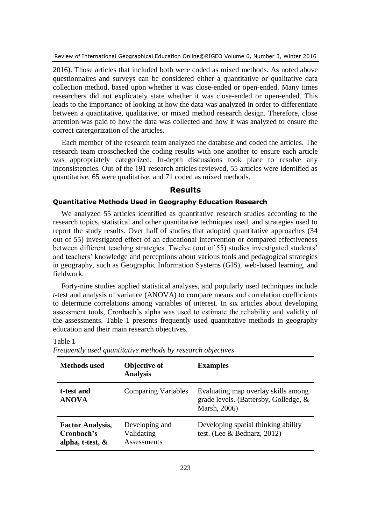2016). Those articles that included both were coded as mixed methods. As noted above questionnaires and surveys can be considered either a quantitative or qualitative data collection method, based upon whether it was close-ended or open-ended. Many times researchers did not explicately state whether it was close-ended or open-ended. This leads to the importance of looking at how the data was analyzed in order to differentiate between a quantitative, qualitative, or mixed method research design. Therefore, close attention was paid to how the data was collected and how it was analyzed to ensure the correct catergorization of the articles.

Each member of the research team analyzed the database and coded the articles. The research team crosschecked the coding results with one another to ensure each article was appropriately categorized. In-depth discussions took place to resolve any inconsistencies. Out of the 191 research articles reviewed, 55 articles were identified as quantitative, 65 were qualitative, and 71 coded as mixed methods.

#### **Results**

### **Quantitative Methods Used in Geography Education Research**

We analyzed 55 articles identified as quantitative research studies according to the research topics, statistical and other quantitative techniques used, and strategies used to report the study results. Over half of studies that adopted quantitative approaches (34 out of 55) investigated effect of an educational intervention or compared effectiveness between different teaching strategies. Twelve (out of 55) studies investigated students' and teachers' knowledge and perceptions about various tools and pedagogical strategies in geography, such as Geographic Information Systems (GIS), web-based learning, and fieldwork.

Forty-nine studies applied statistical analyses, and popularly used techniques include *t*-test and analysis of variance (ANOVA) to compare means and correlation coefficients to determine correlations among variables of interest. In six articles about developing assessment tools, Cronbach's alpha was used to estimate the reliability and validity of the assessments. Table 1 presents frequently used quantitative methods in geography education and their main research objectives.

**Methods used Objective of Analysis Examples t-test and ANOVA** Comparing Variables Evaluating map overlay skills among grade levels. (Battersby, Golledge, & Marsh, 2006) **Factor Analysis, Cronbach's alpha, t-test, &**  Developing and Validating Assessments Developing spatial thinking ability test. (Lee & Bednarz, 2012)

Table 1

*Frequently used quantitative methods by research objectives*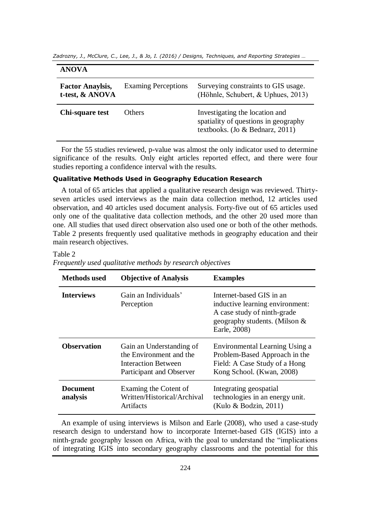*Zadrozny, J., McClure, C., Lee, J., & Jo, I. (2016) / Designs, Techniques, and Reporting Strategies …*

#### **ANOVA**

| <b>Factor Anaylsis,</b><br>t-test, & ANOVA | <b>Examing Perceptions</b> | Surveying constraints to GIS usage.<br>(Höhnle, Schubert, & Uphues, 2013)                                 |
|--------------------------------------------|----------------------------|-----------------------------------------------------------------------------------------------------------|
| Chi-square test                            | Others                     | Investigating the location and<br>spatiality of questions in geography<br>textbooks. (Jo & Bednarz, 2011) |

For the 55 studies reviewed, p-value was almost the only indicator used to determine significance of the results. Only eight articles reported effect, and there were four studies reporting a confidence interval with the results.

#### **Qualitative Methods Used in Geography Education Research**

A total of 65 articles that applied a qualitative research design was reviewed. Thirtyseven articles used interviews as the main data collection method, 12 articles used observation, and 40 articles used document analysis. Forty-five out of 65 articles used only one of the qualitative data collection methods, and the other 20 used more than one. All studies that used direct observation also used one or both of the other methods. Table 2 presents frequently used qualitative methods in geography education and their main research objectives.

#### Table 2

*Frequently used qualitative methods by research objectives*

| <b>Methods</b> used         | <b>Objective of Analysis</b>                                                                           | <b>Examples</b>                                                                                                                             |
|-----------------------------|--------------------------------------------------------------------------------------------------------|---------------------------------------------------------------------------------------------------------------------------------------------|
| <b>Interviews</b>           | Gain an Individuals'<br>Perception                                                                     | Internet-based GIS in an<br>inductive learning environment:<br>A case study of ninth-grade<br>geography students. (Milson &<br>Earle, 2008) |
| <b>Observation</b>          | Gain an Understanding of<br>the Environment and the<br>Interaction Between<br>Participant and Observer | Environmental Learning Using a<br>Problem-Based Approach in the<br>Field: A Case Study of a Hong<br>Kong School. (Kwan, 2008)               |
| <b>Document</b><br>analysis | Examing the Cotent of<br>Written/Historical/Archival<br>Artifacts                                      | Integrating geospatial<br>technologies in an energy unit.<br>(Kulo & Bodzin, 2011)                                                          |

An example of using interviews is Milson and Earle (2008), who used a case-study research design to understand how to incorporate Internet-based GIS (IGIS) into a ninth-grade geography lesson on Africa, with the goal to understand the "implications of integrating IGIS into secondary geography classrooms and the potential for this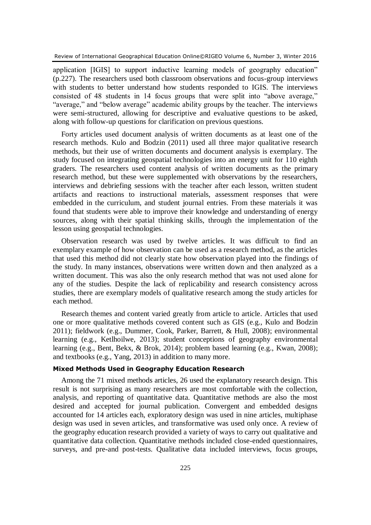application [IGIS] to support inductive learning models of geography education" (p.227). The researchers used both classroom observations and focus-group interviews with students to better understand how students responded to IGIS. The interviews consisted of 48 students in 14 focus groups that were split into "above average," "average," and "below average" academic ability groups by the teacher. The interviews were semi-structured, allowing for descriptive and evaluative questions to be asked, along with follow-up questions for clarification on previous questions.

Forty articles used document analysis of written documents as at least one of the research methods. Kulo and Bodzin (2011) used all three major qualitative research methods, but their use of written documents and document analysis is exemplary. The study focused on integrating geospatial technologies into an energy unit for 110 eighth graders. The researchers used content analysis of written documents as the primary research method, but these were supplemented with observations by the researchers, interviews and debriefing sessions with the teacher after each lesson, written student artifacts and reactions to instructional materials, assessment responses that were embedded in the curriculum, and student journal entries. From these materials it was found that students were able to improve their knowledge and understanding of energy sources, along with their spatial thinking skills, through the implementation of the lesson using geospatial technologies.

Observation research was used by twelve articles. It was difficult to find an exemplary example of how observation can be used as a research method, as the articles that used this method did not clearly state how observation played into the findings of the study. In many instances, observations were written down and then analyzed as a written document. This was also the only research method that was not used alone for any of the studies. Despite the lack of replicability and research consistency across studies, there are exemplary models of qualitative research among the study articles for each method.

Research themes and content varied greatly from article to article. Articles that used one or more qualitative methods covered content such as GIS (e.g., Kulo and Bodzin 2011); fieldwork (e.g., Dummer, Cook, Parker, Barrett, & Hull, 2008); environmental learning (e.g., Ketlhoilwe, 2013); student conceptions of geography environmental learning (e.g., Bent, Bekx, & Brok, 2014); problem based learning (e.g., Kwan, 2008); and textbooks (e.g., Yang, 2013) in addition to many more.

#### **Mixed Methods Used in Geography Education Research**

Among the 71 mixed methods articles, 26 used the explanatory research design. This result is not surprising as many researchers are most comfortable with the collection, analysis, and reporting of quantitative data. Quantitative methods are also the most desired and accepted for journal publication. Convergent and embedded designs accounted for 14 articles each, exploratory design was used in nine articles, multiphase design was used in seven articles, and transformative was used only once. A review of the geography education research provided a variety of ways to carry out qualitative and quantitative data collection. Quantitative methods included close-ended questionnaires, surveys, and pre-and post-tests. Qualitative data included interviews, focus groups,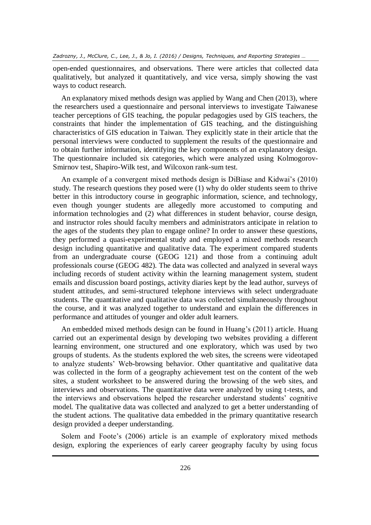open-ended questionnaires, and observations. There were articles that collected data qualitatively, but analyzed it quantitatively, and vice versa, simply showing the vast ways to coduct research.

An explanatory mixed methods design was applied by Wang and Chen (2013), where the researchers used a questionnaire and personal interviews to investigate Taiwanese teacher perceptions of GIS teaching, the popular pedagogies used by GIS teachers, the constraints that hinder the implementation of GIS teaching, and the distinguishing characteristics of GIS education in Taiwan. They explicitly state in their article that the personal interviews were conducted to supplement the results of the questionnaire and to obtain further information, identifying the key components of an explanatory design. The questionnaire included six categories, which were analyzed using Kolmogorov-Smirnov test, Shapiro-Wilk test, and Wilcoxon rank-sum test.

An example of a convergent mixed methods design is DiBiase and Kidwai's (2010) study. The research questions they posed were (1) why do older students seem to thrive better in this introductory course in geographic information, science, and technology, even though younger students are allegedly more accustomed to computing and information technologies and (2) what differences in student behavior, course design, and instructor roles should faculty members and administrators anticipate in relation to the ages of the students they plan to engage online? In order to answer these questions, they performed a quasi-experimental study and employed a mixed methods research design including quantitative and qualitative data. The experiment compared students from an undergraduate course (GEOG 121) and those from a continuing adult professionals course (GEOG 482). The data was collected and analyzed in several ways including records of student activity within the learning management system, student emails and discussion board postings, activity diaries kept by the lead author, surveys of student attitudes, and semi-structured telephone interviews with select undergraduate students. The quantitative and qualitative data was collected simultaneously throughout the course, and it was analyzed together to understand and explain the differences in performance and attitudes of younger and older adult learners.

An embedded mixed methods design can be found in Huang's (2011) article. Huang carried out an experimental design by developing two websites providing a different learning environment, one structured and one exploratory, which was used by two groups of students. As the students explored the web sites, the screens were videotaped to analyze students' Web-browsing behavior. Other quantitative and qualitative data was collected in the form of a geography achievement test on the content of the web sites, a student worksheet to be answered during the browsing of the web sites, and interviews and observations. The quantitative data were analyzed by using t-tests, and the interviews and observations helped the researcher understand students' cognitive model. The qualitative data was collected and analyzed to get a better understanding of the student actions. The qualitative data embedded in the primary quantitative research design provided a deeper understanding.

Solem and Foote's (2006) article is an example of exploratory mixed methods design, exploring the experiences of early career geography faculty by using focus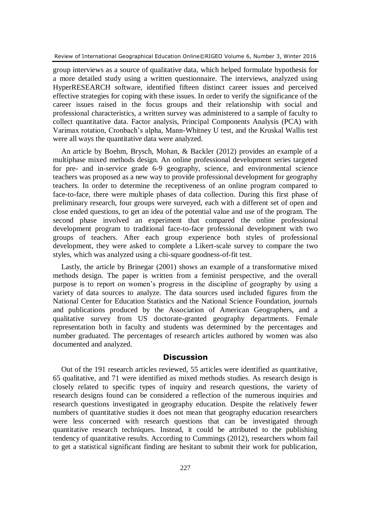group interviews as a source of qualitative data, which helped formulate hypothesis for a more detailed study using a written questionnaire. The interviews, analyzed using HyperRESEARCH software, identified fifteen distinct career issues and perceived effective strategies for coping with these issues. In order to verify the significance of the career issues raised in the focus groups and their relationship with social and professional characteristics, a written survey was administered to a sample of faculty to collect quantitative data. Factor analysis, Principal Components Analysis (PCA) with Varimax rotation, Cronbach's alpha, Mann-Whitney U test, and the Kruskal Wallis test were all ways the quantitative data were analyzed.

An article by Boehm, Brysch, Mohan, & Backler (2012) provides an example of a multiphase mixed methods design. An online professional development series targeted for pre- and in-service grade 6-9 geography, science, and environmental science teachers was proposed as a new way to provide professional development for geography teachers. In order to determine the receptiveness of an online program compared to face-to-face, there were multiple phases of data collection. During this first phase of preliminary research, four groups were surveyed, each with a different set of open and close ended questions, to get an idea of the potential value and use of the program. The second phase involved an experiment that compared the online professional development program to traditional face-to-face professional development with two groups of teachers. After each group experience both styles of professional development, they were asked to complete a Likert-scale survey to compare the two styles, which was analyzed using a chi-square goodness-of-fit test.

Lastly, the article by Brinegar (2001) shows an example of a transformative mixed methods design. The paper is written from a feminist perspective, and the overall purpose is to report on women's progress in the discipline of geography by using a variety of data sources to analyze. The data sources used included figures from the National Center for Education Statistics and the National Science Foundation, journals and publications produced by the Association of American Geographers, and a qualitative survey from US doctorate-granted geography departments. Female representation both in faculty and students was determined by the percentages and number graduated. The percentages of research articles authored by women was also documented and analyzed.

#### **Discussion**

Out of the 191 research articles reviewed, 55 articles were identified as quantitative, 65 qualitative, and 71 were identified as mixed methods studies. As research design is closely related to specific types of inquiry and research questions, the variety of research designs found can be considered a reflection of the numerous inquiries and research questions investigated in geography education. Despite the relatively fewer numbers of quantitative studies it does not mean that geography education researchers were less concerned with research questions that can be investigated through quantitative research techniques. Instead, it could be attributed to the publishing tendency of quantitative results. According to Cummings (2012), researchers whom fail to get a statistical significant finding are hesitant to submit their work for publication,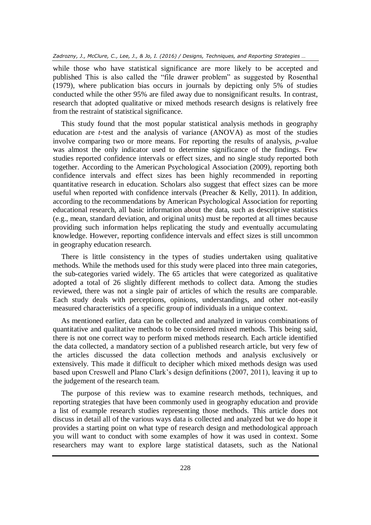while those who have statistical significance are more likely to be accepted and published This is also called the "file drawer problem" as suggested by Rosenthal (1979), where publication bias occurs in journals by depicting only 5% of studies conducted while the other 95% are filed away due to nonsignificant results. In contrast, research that adopted qualitative or mixed methods research designs is relatively free from the restraint of statistical significance.

This study found that the most popular statistical analysis methods in geography education are *t*-test and the analysis of variance (ANOVA) as most of the studies involve comparing two or more means. For reporting the results of analysis, *p*-value was almost the only indicator used to determine significance of the findings. Few studies reported confidence intervals or effect sizes, and no single study reported both together. According to the American Psychological Association (2009), reporting both confidence intervals and effect sizes has been highly recommended in reporting quantitative research in education. Scholars also suggest that effect sizes can be more useful when reported with confidence intervals (Preacher & Kelly, 2011). In addition, according to the recommendations by American Psychological Association for reporting educational research, all basic information about the data, such as descriptive statistics (e.g., mean, standard deviation, and original units) must be reported at all times because providing such information helps replicating the study and eventually accumulating knowledge. However, reporting confidence intervals and effect sizes is still uncommon in geography education research.

There is little consistency in the types of studies undertaken using qualitative methods. While the methods used for this study were placed into three main categories, the sub-categories varied widely. The 65 articles that were categorized as qualitative adopted a total of 26 slightly different methods to collect data. Among the studies reviewed, there was not a single pair of articles of which the results are comparable. Each study deals with perceptions, opinions, understandings, and other not-easily measured characteristics of a specific group of individuals in a unique context.

As mentioned earlier, data can be collected and analyzed in various combinations of quantitative and qualitative methods to be considered mixed methods. This being said, there is not one correct way to perform mixed methods research. Each article identified the data collected, a mandatory section of a published research article, but very few of the articles discussed the data collection methods and analysis exclusively or extensively. This made it difficult to decipher which mixed methods design was used based upon Creswell and Plano Clark's design definitions (2007, 2011), leaving it up to the judgement of the research team.

The purpose of this review was to examine research methods, techniques, and reporting strategies that have been commonly used in geography education and provide a list of example research studies representing those methods. This article does not discuss in detail all of the various ways data is collected and analyzed but we do hope it provides a starting point on what type of research design and methodological approach you will want to conduct with some examples of how it was used in context. Some researchers may want to explore large statistical datasets, such as the National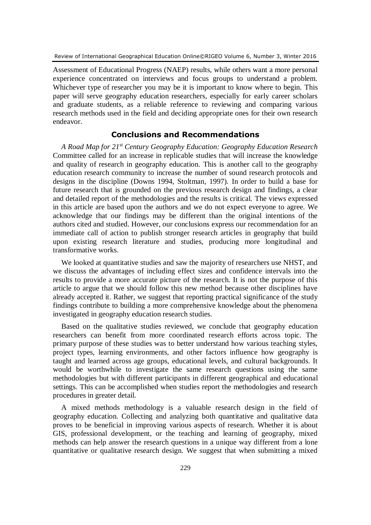Assessment of Educational Progress (NAEP) results, while others want a more personal experience concentrated on interviews and focus groups to understand a problem. Whichever type of researcher you may be it is important to know where to begin. This paper will serve geography education researchers, especially for early career scholars and graduate students, as a reliable reference to reviewing and comparing various research methods used in the field and deciding appropriate ones for their own research endeavor.

# **Conclusions and Recommendations**

*A Road Map for 21st Century Geography Education: Geography Education Research*  Committee called for an increase in replicable studies that will increase the knowledge and quality of research in geography education. This is another call to the geography education research community to increase the number of sound research protocols and designs in the discipline (Downs 1994, Stoltman, 1997). In order to build a base for future research that is grounded on the previous research design and findings, a clear and detailed report of the methodologies and the results is critical. The views expressed in this article are based upon the authors and we do not expect everyone to agree. We acknowledge that our findings may be different than the original intentions of the authors cited and studied. However, our conclusions express our recommendation for an immediate call of action to publish stronger research articles in geography that build upon existing research literature and studies, producing more longitudinal and transformative works.

We looked at quantitative studies and saw the majority of researchers use NHST, and we discuss the advantages of including effect sizes and confidence intervals into the results to provide a more accurate picture of the research. It is not the purpose of this article to argue that we should follow this new method because other disciplines have already accepted it. Rather, we suggest that reporting practical significance of the study findings contribute to building a more comprehensive knowledge about the phenomena investigated in geography education research studies.

Based on the qualitative studies reviewed, we conclude that geography education researchers can benefit from more coordinated research efforts across topic. The primary purpose of these studies was to better understand how various teaching styles, project types, learning environments, and other factors influence how geography is taught and learned across age groups, educational levels, and cultural backgrounds. It would be worthwhile to investigate the same research questions using the same methodologies but with different participants in different geographical and educational settings. This can be accomplished when studies report the methodologies and research procedures in greater detail.

A mixed methods methodology is a valuable research design in the field of geography education. Collecting and analyzing both quantitative and qualitative data proves to be beneficial in improving various aspects of research. Whether it is about GIS, professional development, or the teaching and learning of geography, mixed methods can help answer the research questions in a unique way different from a lone quantitative or qualitative research design. We suggest that when submitting a mixed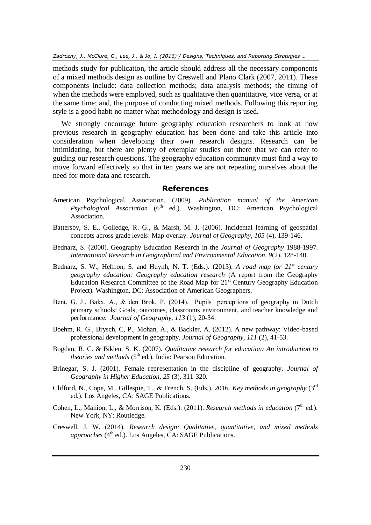*Zadrozny, J., McClure, C., Lee, J., & Jo, I. (2016) / Designs, Techniques, and Reporting Strategies …*

methods study for publication, the article should address all the necessary components of a mixed methods design as outline by Creswell and Plano Clark (2007, 2011). These components include: data collection methods; data analysis methods; the timing of when the methods were employed, such as qualitative then quantitative, vice versa, or at the same time; and, the purpose of conducting mixed methods. Following this reporting style is a good habit no matter what methodology and design is used.

We strongly encourage future geography education researchers to look at how previous research in geography education has been done and take this article into consideration when developing their own research designs. Research can be intimidating, but there are plenty of exemplar studies out there that we can refer to guiding our research questions. The geography education community must find a way to move forward effectively so that in ten years we are not repeating ourselves about the need for more data and research.

### **References**

- American Psychological Association. (2009). *Publication manual of the American Psychological Association* (6<sup>th</sup> ed.). Washington, DC: American Psychological Association.
- Battersby, S. E., Golledge, R. G., & Marsh, M. J. (2006). Incidental learning of geospatial concepts across grade levels: Map overlay. *Journal of Geography, 105* (4), 139-146.
- Bednarz, S. (2000). Geography Education Research in the *Journal of Geography* 1988-1997. *International Research in Geographical and Environmental Education, 9*(2), 128-140.
- Bednarz, S. W., Heffron, S. and Huynh, N. T. (Eds.). (2013). *A road map for 21st century geography education: Geography education research* (A report from the Geography Education Research Committee of the Road Map for 21<sup>st</sup> Century Geography Education Project). Washington, DC: Association of American Geographers.
- Bent, G. J., Bakx, A., & den Brok, P. (2014). Pupils' perceptions of geography in Dutch primary schools: Goals, outcomes, classrooms environment, and teacher knowledge and performance. *Journal of Geography, 113* (1), 20-34.
- Boehm, R. G., Brysch, C, P., Mohan, A., & Backler, A. (2012). A new pathway: Video-based professional development in geography. *Journal of Geography, 111* (2), 41-53.
- Bogdan, R. C. & Biklen, S. K. (2007). *Qualitative research for education: An introduction to theories and methods* (5<sup>th</sup> ed.). India: Pearson Education.
- Brinegar, S. J. (2001). Female representation in the discipline of geography. *Journal of Geography in Higher Education, 25* (3), 311-320.
- Clifford, N., Cope, M., Gillespie, T., & French, S. (Eds.). 2016. *Key methods in geography* (3<sup>rd</sup>) ed.). Los Angeles, CA: SAGE Publications.
- Cohen, L., Manion, L., & Morrison, K. (Eds.). (2011). *Research methods in education* (7<sup>th</sup> ed.). New York, NY: Routledge.
- Creswell, J. W. (2014). *Research design: Qualitative, quantitative, and mixed methods*  approaches (4<sup>th</sup> ed.). Los Angeles, CA: SAGE Publications.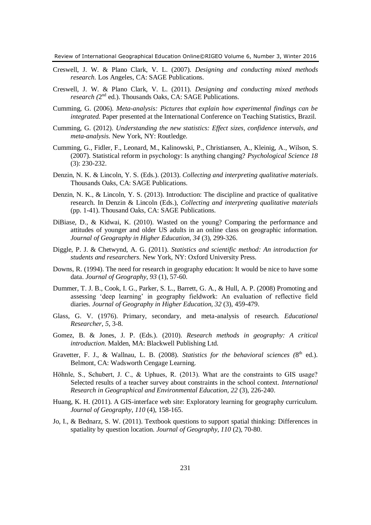- Creswell, J. W. & Plano Clark, V. L. (2007). *Designing and conducting mixed methods research.* Los Angeles, CA: SAGE Publications.
- Creswell, J. W. & Plano Clark, V. L. (2011). *Designing and conducting mixed methods*  research (2<sup>nd</sup> ed.). Thousands Oaks, CA: SAGE Publications.
- Cumming, G. (2006). *Meta-analysis: Pictures that explain how experimental findings can be integrated.* Paper presented at the International Conference on Teaching Statistics, Brazil.
- Cumming, G. (2012). *Understanding the new statistics: Effect sizes, confidence intervals, and meta-analysis.* New York, NY: Routledge.
- Cumming, G., Fidler, F., Leonard, M., Kalinowski, P., Christiansen, A., Kleinig, A., Wilson, S. (2007). Statistical reform in psychology: Is anything changing? *Psychological Science 18* (3): 230-232.
- Denzin, N. K. & Lincoln, Y. S. (Eds.). (2013). *Collecting and interpreting qualitative materials*. Thousands Oaks, CA: SAGE Publications.
- Denzin, N. K., & Lincoln, Y. S. (2013). Introduction: The discipline and practice of qualitative research. In Denzin & Lincoln (Eds.), *Collecting and interpreting qualitative materials* (pp. 1-41). Thousand Oaks, CA: SAGE Publications.
- DiBiase, D., & Kidwai, K. (2010). Wasted on the young? Comparing the performance and attitudes of younger and older US adults in an online class on geographic information. *Journal of Geography in Higher Education, 34* (3), 299-326.
- Diggle, P. J. & Chetwynd, A. G. (2011). *Statistics and scientific method: An introduction for students and researchers.* New York, NY: Oxford University Press.
- Downs, R. (1994). The need for research in geography education: It would be nice to have some data. *Journal of Geography, 93* (1), 57-60.
- Dummer, T. J. B., Cook, I. G., Parker, S. L., Barrett, G. A., & Hull, A. P. (2008) Promoting and assessing 'deep learning' in geography fieldwork: An evaluation of reflective field diaries. *Journal of Geography in Higher Education, 32* (3), 459-479.
- Glass, G. V. (1976). Primary, secondary, and meta-analysis of research. *Educational Researcher, 5*, 3-8.
- Gomez, B. & Jones, J. P. (Eds.). (2010). *Research methods in geography: A critical introduction*. Malden, MA: Blackwell Publishing Ltd.
- Gravetter, F. J., & Wallnau, L. B. (2008). *Statistics for the behavioral sciences* (8<sup>th</sup> ed.). Belmont, CA: Wadsworth Cengage Learning.
- Höhnle, S., Schubert, J. C., & Uphues, R. (2013). What are the constraints to GIS usage? Selected results of a teacher survey about constraints in the school context. *International Research in Geographical and Environmental Education, 22* (3), 226-240.
- Huang, K. H. (2011). A GIS-interface web site: Exploratory learning for geography curriculum. *Journal of Geography, 110* (4), 158-165.
- Jo, I., & Bednarz, S. W. (2011). Textbook questions to support spatial thinking: Differences in spatiality by question location. *Journal of Geography, 110* (2), 70-80.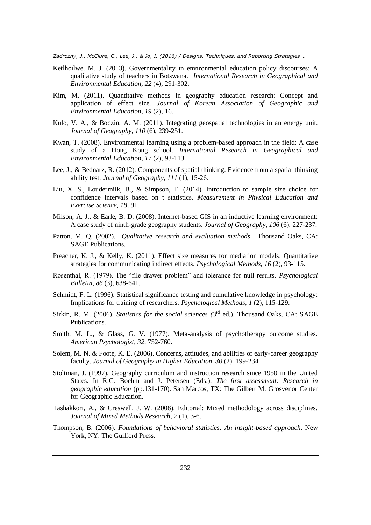*Zadrozny, J., McClure, C., Lee, J., & Jo, I. (2016) / Designs, Techniques, and Reporting Strategies …*

- Ketlhoilwe, M. J. (2013). Governmentality in environmental education policy discourses: A qualitative study of teachers in Botswana. *International Research in Geographical and Environmental Education, 22* (4), 291-302.
- Kim, M. (2011). Quantitative methods in geography education research: Concept and application of effect size. *Journal of Korean Association of Geographic and Environmental Education, 19* (2), 16.
- Kulo, V. A., & Bodzin, A. M. (2011). Integrating geospatial technologies in an energy unit. *Journal of Geography*, *110* (6), 239-251.
- Kwan, T. (2008). Environmental learning using a problem-based approach in the field: A case study of a Hong Kong school. *International Research in Geographical and Environmental Education, 17* (2), 93-113.
- Lee, J., & Bednarz, R. (2012). Components of spatial thinking: Evidence from a spatial thinking ability test. *Journal of Geography, 111* (1), 15-26.
- Liu, X. S., Loudermilk, B., & Simpson, T. (2014). Introduction to sample size choice for confidence intervals based on t statistics. *Measurement in Physical Education and Exercise Science, 18*, 91.
- Milson, A. J., & Earle, B. D. (2008). Internet-based GIS in an inductive learning environment: A case study of ninth-grade geography students. *Journal of Geography, 106* (6), 227-237.
- Patton, M. Q. (2002). *Qualitative research and evaluation methods*. Thousand Oaks, CA: SAGE Publications.
- Preacher, K. J., & Kelly, K. (2011). Effect size measures for mediation models: Quantitative strategies for communicating indirect effects. *Psychological Methods, 16* (2), 93-115.
- Rosenthal, R. (1979). The "file drawer problem" and tolerance for null results. *Psychological Bulletin, 86* (3), 638-641.
- Schmidt, F. L. (1996). Statistical significance testing and cumulative knowledge in psychology: Implications for training of researchers. *Psychological Methods, 1* (2), 115-129.
- Sirkin, R. M. (2006). *Statistics for the social sciences* (3<sup>rd</sup> ed.). Thousand Oaks, CA: SAGE Publications.
- Smith, M. L., & Glass, G. V. (1977). Meta-analysis of psychotherapy outcome studies. *American Psychologist, 32*, 752-760.
- Solem, M. N. & Foote, K. E. (2006). Concerns, attitudes, and abilities of early-career geography faculty. *Journal of Geography in Higher Education, 30* (2), 199-234.
- Stoltman, J. (1997). Geography curriculum and instruction research since 1950 in the United States. In R.G. Boehm and J. Petersen (Eds.), *The first assessment: Research in geographic education* (pp.131-170). San Marcos, TX: The Gilbert M. Grosvenor Center for Geographic Education.
- Tashakkori, A., & Creswell, J. W. (2008). Editorial: Mixed methodology across disciplines. *Journal of Mixed Methods Research, 2* (1), 3-6.
- Thompson, B. (2006). *Foundations of behavioral statistics: An insight-based approach*. New York, NY: The Guilford Press.